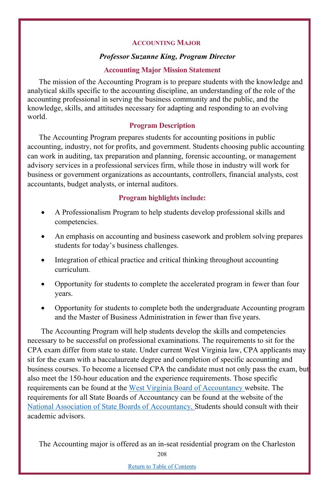### **ACCOUNTING MAJOR**

#### *Professor Suzanne King, Program Director*

#### **Accounting Major Mission Statement**

The mission of the Accounting Program is to prepare students with the knowledge and analytical skills specific to the accounting discipline, an understanding of the role of the accounting professional in serving the business community and the public, and the knowledge, skills, and attitudes necessary for adapting and responding to an evolving world.

### **Program Description**

The Accounting Program prepares students for accounting positions in public accounting, industry, not for profits, and government. Students choosing public accounting can work in auditing, tax preparation and planning, forensic accounting, or management advisory services in a professional services firm, while those in industry will work for business or government organizations as accountants, controllers, financial analysts, cost accountants, budget analysts, or internal auditors.

#### **Program highlights include:**

- A Professionalism Program to help students develop professional skills and competencies.
- An emphasis on accounting and business casework and problem solving prepares students for today's business challenges.
- Integration of ethical practice and critical thinking throughout accounting curriculum.
- Opportunity for students to complete the accelerated program in fewer than four years.
- Opportunity for students to complete both the undergraduate Accounting program and the Master of Business Administration in fewer than five years.

The Accounting Program will help students develop the skills and competencies necessary to be successful on professional examinations. The requirements to sit for the CPA exam differ from state to state. Under current West Virginia law, CPA applicants may sit for the exam with a baccalaureate degree and completion of specific accounting and business courses. To become a licensed CPA the candidate must not only pass the exam, but also meet the 150-hour education and the experience requirements. Those specific requirements can be found at the West Virginia Board of Accountancy website. The requirements for all State Boards of Accountancy can be found at the website of the National Association of State Boards of Accountancy. Students should consult with their academic advisors.

The Accounting major is offered as an in-seat residential program on the Charleston

208

Return to Table of Contents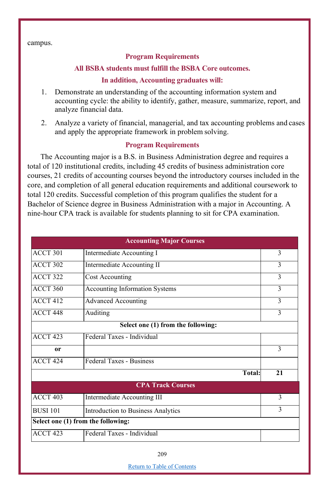campus.

## **Program Requirements**

#### **All BSBA students must fulfill the BSBA Core outcomes.**

#### **In addition, Accounting graduates will:**

- 1. Demonstrate an understanding of the accounting information system and accounting cycle: the ability to identify, gather, measure, summarize, report, and analyze financial data.
- 2. Analyze a variety of financial, managerial, and tax accounting problems and cases and apply the appropriate framework in problem solving.

### **Program Requirements**

The Accounting major is a B.S. in Business Administration degree and requires a total of 120 institutional credits, including 45 credits of business administration core courses, 21 credits of accounting courses beyond the introductory courses included in the core, and completion of all general education requirements and additional coursework to total 120 credits. Successful completion of this program qualifies the student for a Bachelor of Science degree in Business Administration with a major in Accounting. A nine-hour CPA track is available for students planning to sit for CPA examination.

|                     | <b>Accounting Major Courses</b>    |               |
|---------------------|------------------------------------|---------------|
| ACCT 301            | Intermediate Accounting I          | 3             |
| <b>ACCT 302</b>     | Intermediate Accounting II         | 3             |
| ACCT <sub>322</sub> | <b>Cost Accounting</b>             | 3             |
| <b>ACCT 360</b>     | Accounting Information Systems     | 3             |
| <b>ACCT 412</b>     | <b>Advanced Accounting</b>         | $\mathcal{E}$ |
| ACCT <sub>448</sub> | Auditing                           | 3             |
|                     | Select one (1) from the following: |               |
| <b>ACCT 423</b>     | Federal Taxes - Individual         |               |
| 0r                  |                                    | 3             |
| ACCT <sub>424</sub> | Federal Taxes - Business           |               |
|                     | Total:                             | 21            |
|                     | <b>CPA Track Courses</b>           |               |
| ACCT <sub>403</sub> | Intermediate Accounting III        | 3             |
| <b>BUSI 101</b>     | Introduction to Business Analytics | $\mathcal{E}$ |
|                     | Select one (1) from the following: |               |
| ACCT <sub>423</sub> | Federal Taxes - Individual         |               |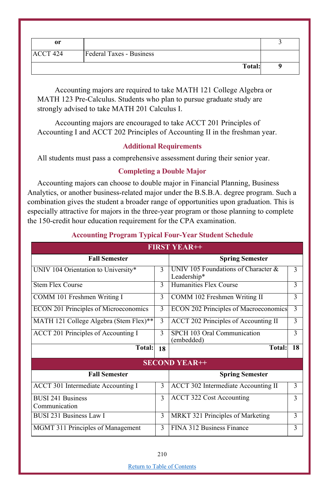| or              |                          |  |
|-----------------|--------------------------|--|
| <b>ACCT 424</b> | Federal Taxes - Business |  |
|                 | Total:                   |  |

Accounting majors are required to take MATH 121 College Algebra or MATH 123 Pre-Calculus. Students who plan to pursue graduate study are strongly advised to take MATH 201 Calculus I.

Accounting majors are encouraged to take ACCT 201 Principles of Accounting I and ACCT 202 Principles of Accounting II in the freshman year.

# **Additional Requirements**

All students must pass a comprehensive assessment during their senior year.

## **Completing a Double Major**

Accounting majors can choose to double major in Financial Planning, Business Analytics, or another business-related major under the B.S.B.A. degree program. Such a combination gives the student a broader range of opportunities upon graduation. This is especially attractive for majors in the three-year program or those planning to complete the 150-credit hour education requirement for the CPA examination.

|                                           |               | <b>FIRST YEAR++</b>                                |               |  |  |
|-------------------------------------------|---------------|----------------------------------------------------|---------------|--|--|
| <b>Fall Semester</b>                      |               | <b>Spring Semester</b>                             |               |  |  |
| UNIV 104 Orientation to University*       | $\mathcal{E}$ | UNIV 105 Foundations of Character &<br>Leadership* | 3             |  |  |
| <b>Stem Flex Course</b>                   |               | Humanities Flex Course                             | 3             |  |  |
| COMM 101 Freshmen Writing I               |               | COMM 102 Freshmen Writing II                       | 3             |  |  |
| ECON 201 Principles of Microeconomics     |               | ECON 202 Principles of Macroeconomics              | 3             |  |  |
| MATH 121 College Algebra (Stem Flex)**    | 3             | ACCT 202 Principles of Accounting II               | 3             |  |  |
| ACCT 201 Principles of Accounting I       | 3             | SPCH 103 Oral Communication<br>(embedded)          | 3             |  |  |
| Total:                                    | 18            | <b>Total:</b>                                      | 18            |  |  |
|                                           |               | <b>SECOND YEAR++</b>                               |               |  |  |
| <b>Fall Semester</b>                      |               | <b>Spring Semester</b>                             |               |  |  |
| ACCT 301 Intermediate Accounting I        |               | ACCT 302 Intermediate Accounting II                | $\mathcal{F}$ |  |  |
| <b>BUSI 241 Business</b><br>Communication |               | ACCT 322 Cost Accounting                           | 3             |  |  |
| BUSI 231 Business Law I                   |               | MRKT 321 Principles of Marketing                   | 3             |  |  |
| MGMT 311 Principles of Management         |               |                                                    | 3             |  |  |

# **Accounting Program Typical Four-Year Student Schedule**